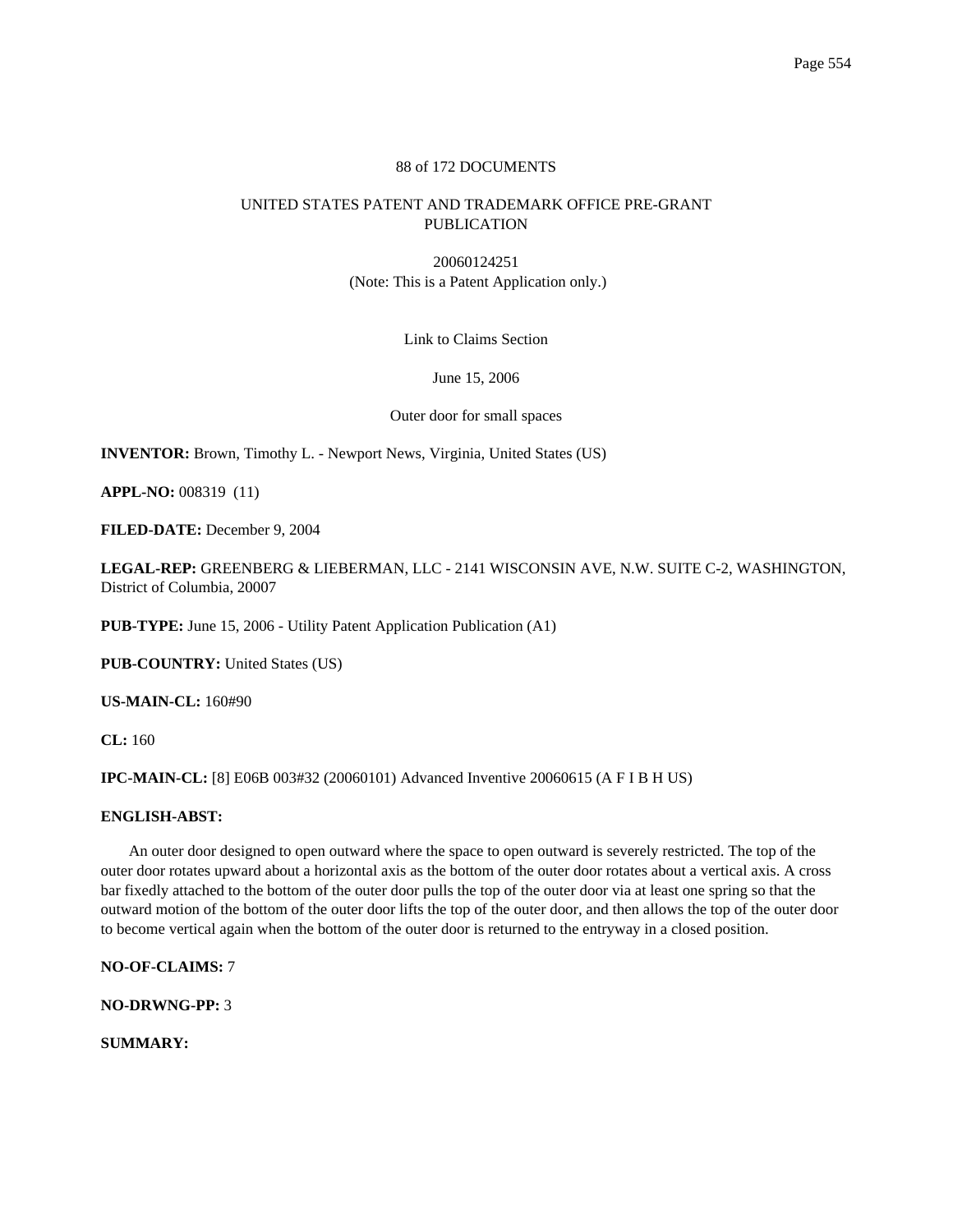## 88 of 172 DOCUMENTS

# UNITED STATES PATENT AND TRADEMARK OFFICE PRE-GRANT PUBLICATION

20060124251 (Note: This is a Patent Application only.)

Link to Claims Section

June 15, 2006

Outer door for small spaces

**INVENTOR:** Brown, Timothy L. - Newport News, Virginia, United States (US)

**APPL-NO:** 008319 (11)

**FILED-DATE:** December 9, 2004

**LEGAL-REP:** GREENBERG & LIEBERMAN, LLC - 2141 WISCONSIN AVE, N.W. SUITE C-2, WASHINGTON, District of Columbia, 20007

**PUB-TYPE:** June 15, 2006 - Utility Patent Application Publication (A1)

**PUB-COUNTRY:** United States (US)

**US-MAIN-CL:** 160#90

**CL:** 160

**IPC-MAIN-CL:** [8] E06B 003#32 (20060101) Advanced Inventive 20060615 (A F I B H US)

## **ENGLISH-ABST:**

An outer door designed to open outward where the space to open outward is severely restricted. The top of the outer door rotates upward about a horizontal axis as the bottom of the outer door rotates about a vertical axis. A cross bar fixedly attached to the bottom of the outer door pulls the top of the outer door via at least one spring so that the outward motion of the bottom of the outer door lifts the top of the outer door, and then allows the top of the outer door to become vertical again when the bottom of the outer door is returned to the entryway in a closed position.

**NO-OF-CLAIMS:** 7

**NO-DRWNG-PP:** 3

**SUMMARY:**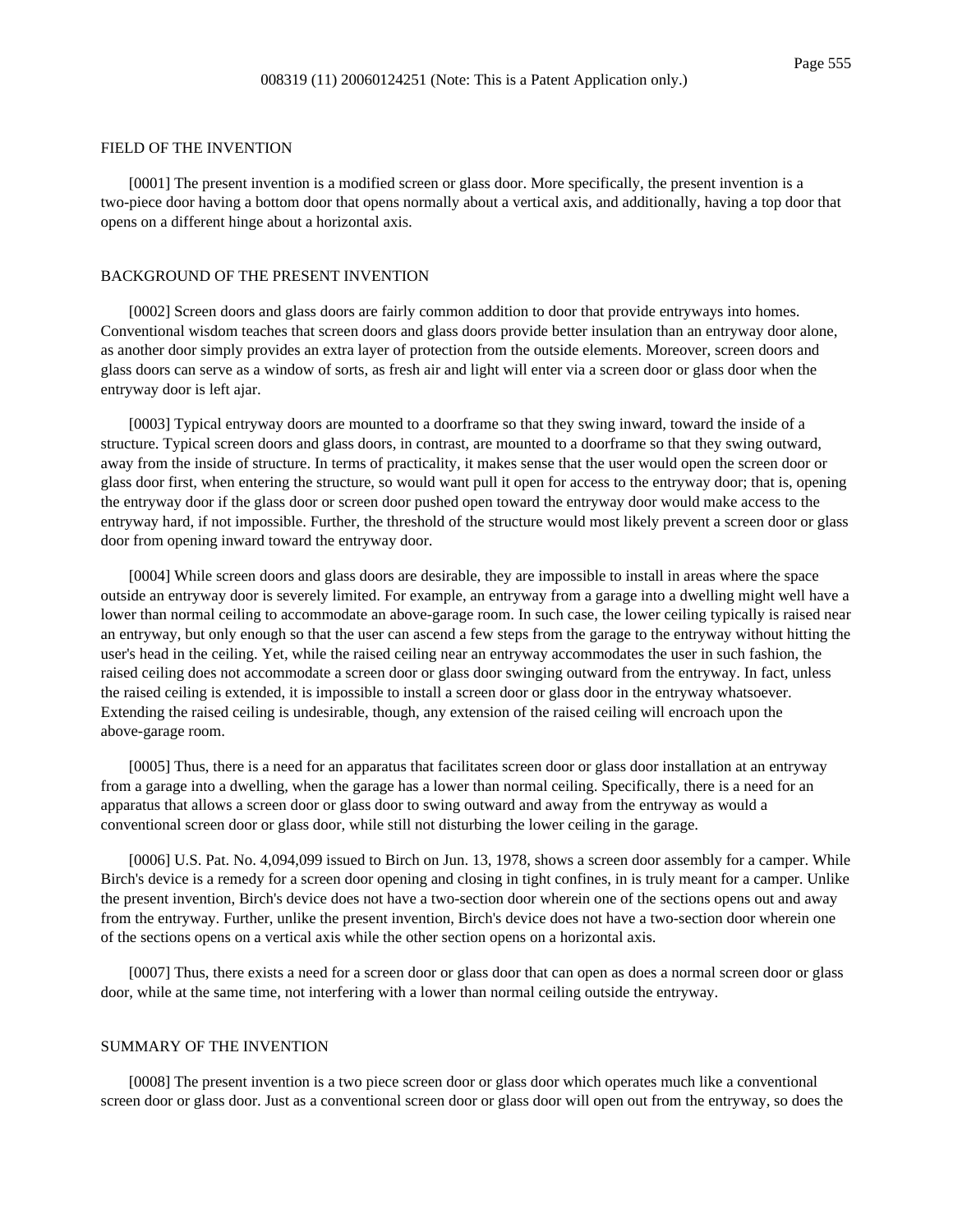#### FIELD OF THE INVENTION

[0001] The present invention is a modified screen or glass door. More specifically, the present invention is a two-piece door having a bottom door that opens normally about a vertical axis, and additionally, having a top door that opens on a different hinge about a horizontal axis.

## BACKGROUND OF THE PRESENT INVENTION

[0002] Screen doors and glass doors are fairly common addition to door that provide entryways into homes. Conventional wisdom teaches that screen doors and glass doors provide better insulation than an entryway door alone, as another door simply provides an extra layer of protection from the outside elements. Moreover, screen doors and glass doors can serve as a window of sorts, as fresh air and light will enter via a screen door or glass door when the entryway door is left ajar.

[0003] Typical entryway doors are mounted to a doorframe so that they swing inward, toward the inside of a structure. Typical screen doors and glass doors, in contrast, are mounted to a doorframe so that they swing outward, away from the inside of structure. In terms of practicality, it makes sense that the user would open the screen door or glass door first, when entering the structure, so would want pull it open for access to the entryway door; that is, opening the entryway door if the glass door or screen door pushed open toward the entryway door would make access to the entryway hard, if not impossible. Further, the threshold of the structure would most likely prevent a screen door or glass door from opening inward toward the entryway door.

[0004] While screen doors and glass doors are desirable, they are impossible to install in areas where the space outside an entryway door is severely limited. For example, an entryway from a garage into a dwelling might well have a lower than normal ceiling to accommodate an above-garage room. In such case, the lower ceiling typically is raised near an entryway, but only enough so that the user can ascend a few steps from the garage to the entryway without hitting the user's head in the ceiling. Yet, while the raised ceiling near an entryway accommodates the user in such fashion, the raised ceiling does not accommodate a screen door or glass door swinging outward from the entryway. In fact, unless the raised ceiling is extended, it is impossible to install a screen door or glass door in the entryway whatsoever. Extending the raised ceiling is undesirable, though, any extension of the raised ceiling will encroach upon the above-garage room.

[0005] Thus, there is a need for an apparatus that facilitates screen door or glass door installation at an entryway from a garage into a dwelling, when the garage has a lower than normal ceiling. Specifically, there is a need for an apparatus that allows a screen door or glass door to swing outward and away from the entryway as would a conventional screen door or glass door, while still not disturbing the lower ceiling in the garage.

[0006] U.S. Pat. No. 4,094,099 issued to Birch on Jun. 13, 1978, shows a screen door assembly for a camper. While Birch's device is a remedy for a screen door opening and closing in tight confines, in is truly meant for a camper. Unlike the present invention, Birch's device does not have a two-section door wherein one of the sections opens out and away from the entryway. Further, unlike the present invention, Birch's device does not have a two-section door wherein one of the sections opens on a vertical axis while the other section opens on a horizontal axis.

[0007] Thus, there exists a need for a screen door or glass door that can open as does a normal screen door or glass door, while at the same time, not interfering with a lower than normal ceiling outside the entryway.

## SUMMARY OF THE INVENTION

[0008] The present invention is a two piece screen door or glass door which operates much like a conventional screen door or glass door. Just as a conventional screen door or glass door will open out from the entryway, so does the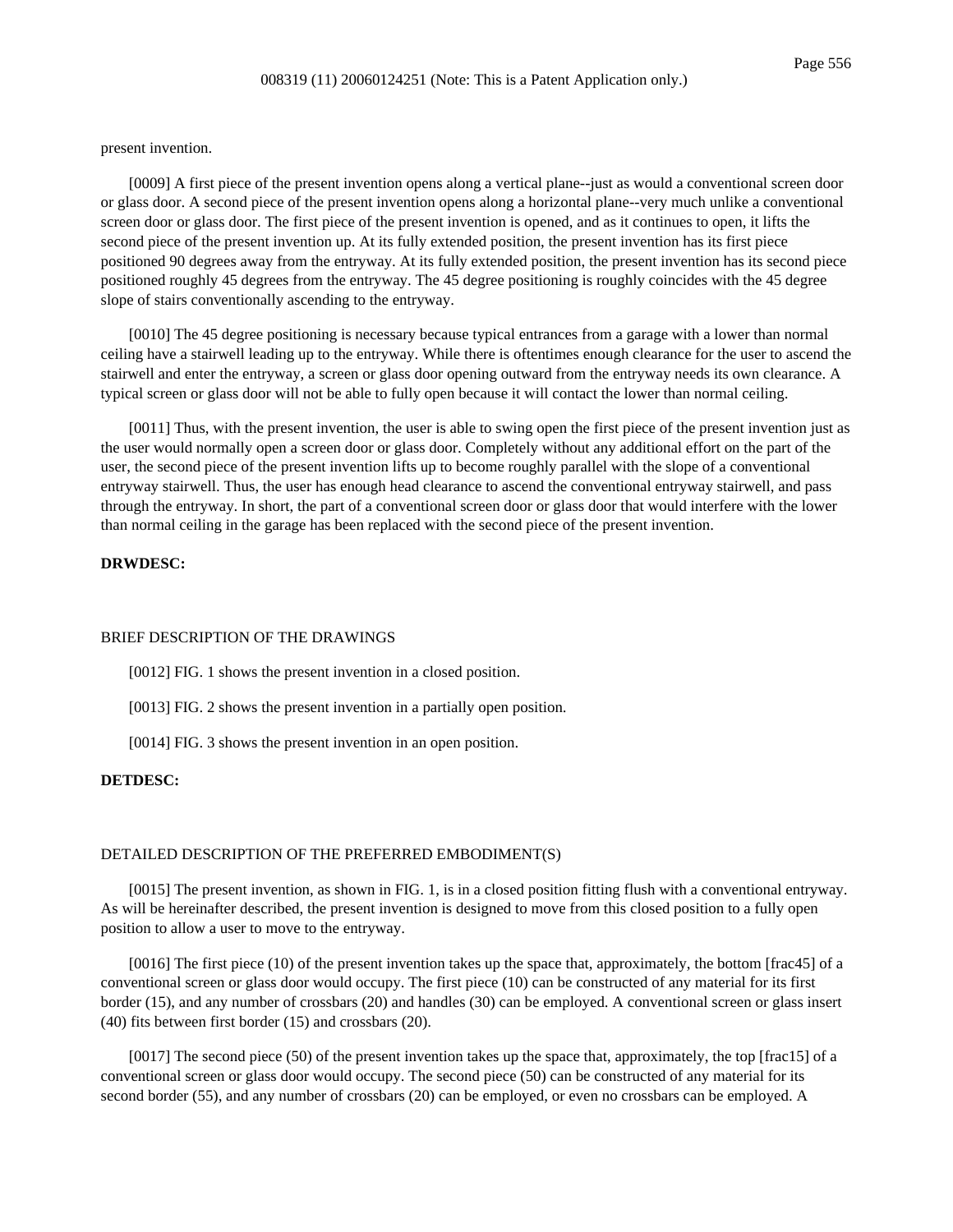present invention.

[0009] A first piece of the present invention opens along a vertical plane--just as would a conventional screen door or glass door. A second piece of the present invention opens along a horizontal plane--very much unlike a conventional screen door or glass door. The first piece of the present invention is opened, and as it continues to open, it lifts the second piece of the present invention up. At its fully extended position, the present invention has its first piece positioned 90 degrees away from the entryway. At its fully extended position, the present invention has its second piece positioned roughly 45 degrees from the entryway. The 45 degree positioning is roughly coincides with the 45 degree slope of stairs conventionally ascending to the entryway.

[0010] The 45 degree positioning is necessary because typical entrances from a garage with a lower than normal ceiling have a stairwell leading up to the entryway. While there is oftentimes enough clearance for the user to ascend the stairwell and enter the entryway, a screen or glass door opening outward from the entryway needs its own clearance. A typical screen or glass door will not be able to fully open because it will contact the lower than normal ceiling.

[0011] Thus, with the present invention, the user is able to swing open the first piece of the present invention just as the user would normally open a screen door or glass door. Completely without any additional effort on the part of the user, the second piece of the present invention lifts up to become roughly parallel with the slope of a conventional entryway stairwell. Thus, the user has enough head clearance to ascend the conventional entryway stairwell, and pass through the entryway. In short, the part of a conventional screen door or glass door that would interfere with the lower than normal ceiling in the garage has been replaced with the second piece of the present invention.

# **DRWDESC:**

#### BRIEF DESCRIPTION OF THE DRAWINGS

[0012] FIG. 1 shows the present invention in a closed position.

[0013] FIG. 2 shows the present invention in a partially open position.

[0014] FIG. 3 shows the present invention in an open position.

### **DETDESC:**

## DETAILED DESCRIPTION OF THE PREFERRED EMBODIMENT(S)

[0015] The present invention, as shown in FIG. 1, is in a closed position fitting flush with a conventional entryway. As will be hereinafter described, the present invention is designed to move from this closed position to a fully open position to allow a user to move to the entryway.

[0016] The first piece (10) of the present invention takes up the space that, approximately, the bottom [frac45] of a conventional screen or glass door would occupy. The first piece (10) can be constructed of any material for its first border (15), and any number of crossbars (20) and handles (30) can be employed. A conventional screen or glass insert (40) fits between first border (15) and crossbars (20).

[0017] The second piece (50) of the present invention takes up the space that, approximately, the top [frac15] of a conventional screen or glass door would occupy. The second piece (50) can be constructed of any material for its second border (55), and any number of crossbars (20) can be employed, or even no crossbars can be employed. A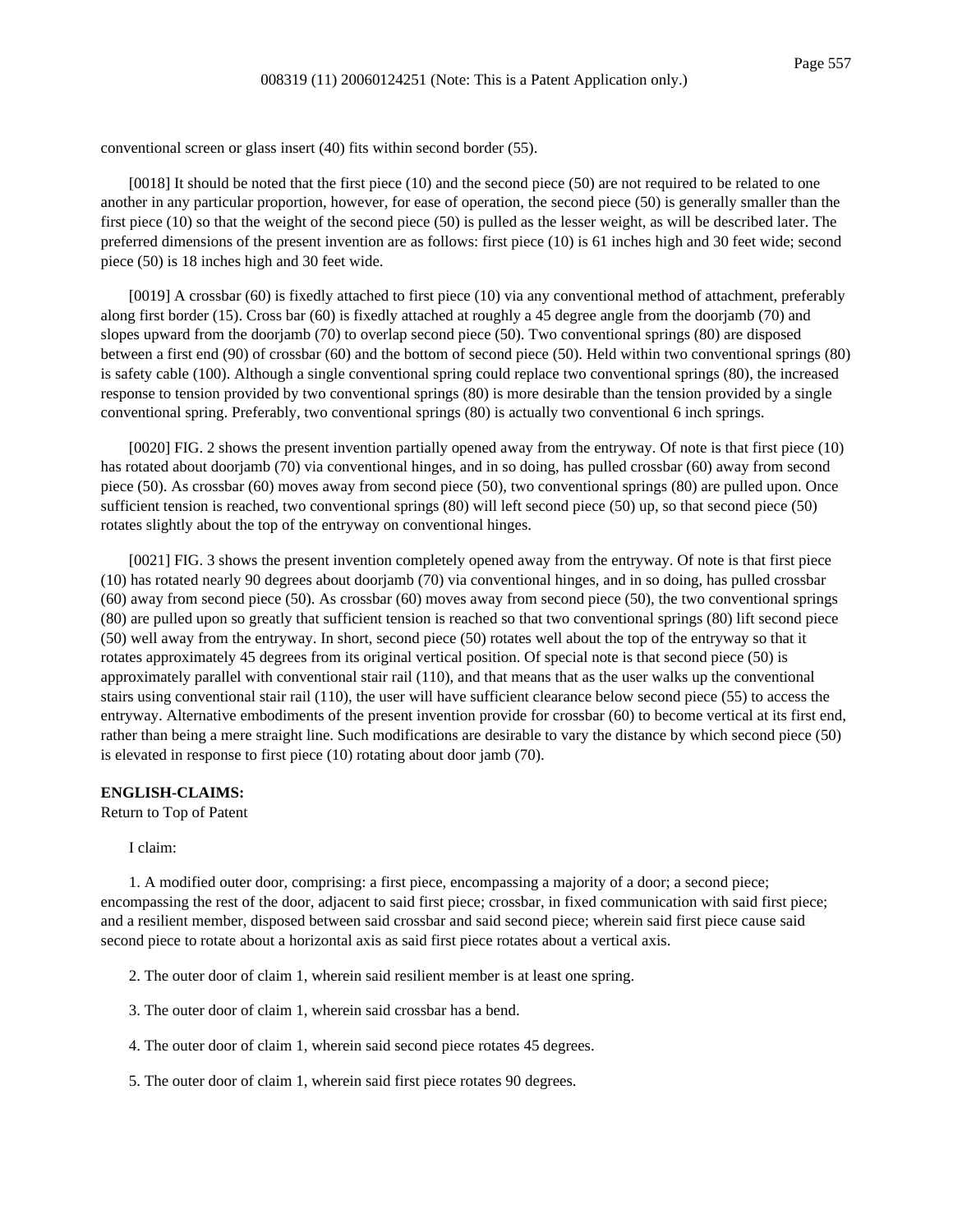conventional screen or glass insert (40) fits within second border (55).

 $[0018]$  It should be noted that the first piece  $(10)$  and the second piece  $(50)$  are not required to be related to one another in any particular proportion, however, for ease of operation, the second piece (50) is generally smaller than the first piece (10) so that the weight of the second piece (50) is pulled as the lesser weight, as will be described later. The preferred dimensions of the present invention are as follows: first piece (10) is 61 inches high and 30 feet wide; second piece (50) is 18 inches high and 30 feet wide.

[0019] A crossbar (60) is fixedly attached to first piece (10) via any conventional method of attachment, preferably along first border (15). Cross bar (60) is fixedly attached at roughly a 45 degree angle from the doorjamb (70) and slopes upward from the doorjamb (70) to overlap second piece (50). Two conventional springs (80) are disposed between a first end (90) of crossbar (60) and the bottom of second piece (50). Held within two conventional springs (80) is safety cable (100). Although a single conventional spring could replace two conventional springs (80), the increased response to tension provided by two conventional springs (80) is more desirable than the tension provided by a single conventional spring. Preferably, two conventional springs (80) is actually two conventional 6 inch springs.

[0020] FIG. 2 shows the present invention partially opened away from the entryway. Of note is that first piece (10) has rotated about doorjamb (70) via conventional hinges, and in so doing, has pulled crossbar (60) away from second piece (50). As crossbar (60) moves away from second piece (50), two conventional springs (80) are pulled upon. Once sufficient tension is reached, two conventional springs (80) will left second piece (50) up, so that second piece (50) rotates slightly about the top of the entryway on conventional hinges.

[0021] FIG. 3 shows the present invention completely opened away from the entryway. Of note is that first piece (10) has rotated nearly 90 degrees about doorjamb (70) via conventional hinges, and in so doing, has pulled crossbar (60) away from second piece (50). As crossbar (60) moves away from second piece (50), the two conventional springs (80) are pulled upon so greatly that sufficient tension is reached so that two conventional springs (80) lift second piece (50) well away from the entryway. In short, second piece (50) rotates well about the top of the entryway so that it rotates approximately 45 degrees from its original vertical position. Of special note is that second piece (50) is approximately parallel with conventional stair rail (110), and that means that as the user walks up the conventional stairs using conventional stair rail (110), the user will have sufficient clearance below second piece (55) to access the entryway. Alternative embodiments of the present invention provide for crossbar (60) to become vertical at its first end, rather than being a mere straight line. Such modifications are desirable to vary the distance by which second piece (50) is elevated in response to first piece (10) rotating about door jamb (70).

### **ENGLISH-CLAIMS:**

Return to Top of Patent

I claim:

1. A modified outer door, comprising: a first piece, encompassing a majority of a door; a second piece; encompassing the rest of the door, adjacent to said first piece; crossbar, in fixed communication with said first piece; and a resilient member, disposed between said crossbar and said second piece; wherein said first piece cause said second piece to rotate about a horizontal axis as said first piece rotates about a vertical axis.

- 2. The outer door of claim 1, wherein said resilient member is at least one spring.
- 3. The outer door of claim 1, wherein said crossbar has a bend.
- 4. The outer door of claim 1, wherein said second piece rotates 45 degrees.
- 5. The outer door of claim 1, wherein said first piece rotates 90 degrees.